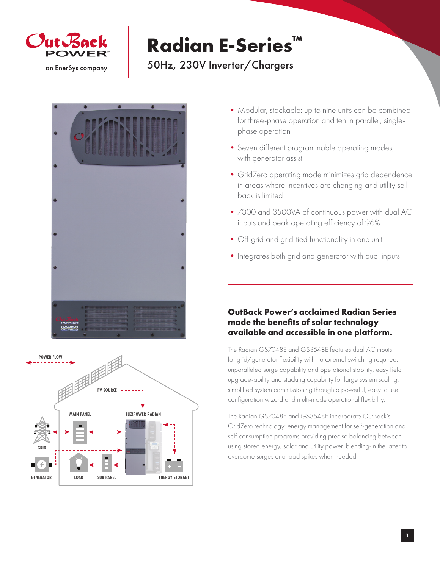

# **Radian E-Series™**

## 50Hz, 230V Inverter/Chargers





- Modular, stackable: up to nine units can be combined for three-phase operation and ten in parallel, singlephase operation
- •Seven different programmable operating modes, with generator assist
- •GridZero operating mode minimizes grid dependence in areas where incentives are changing and utility sellback is limited
- •7000 and 3500VA of continuous power with dual AC inputs and peak operating efficiency of 96%
- •Off-grid and grid-tied functionality in one unit
- Integrates both grid and generator with dual inputs

### **OutBack Power's acclaimed Radian Series made the benefits of solar technology available and accessible in one platform.**

The Radian GS7048E and GS3548E features dual AC inputs for grid/generator flexibility with no external switching required, unparalleled surge capability and operational stability, easy field upgrade-ability and stacking capability for large system scaling, simplified system commissioning through a powerful, easy to use configuration wizard and multi-mode operational flexibility.

The Radian GS7048E and GS3548E incorporate OutBack's GridZero technology: energy management for self-generation and self-consumption programs providing precise balancing between using stored energy, solar and utility power, blending-in the latter to overcome surges and load spikes when needed.